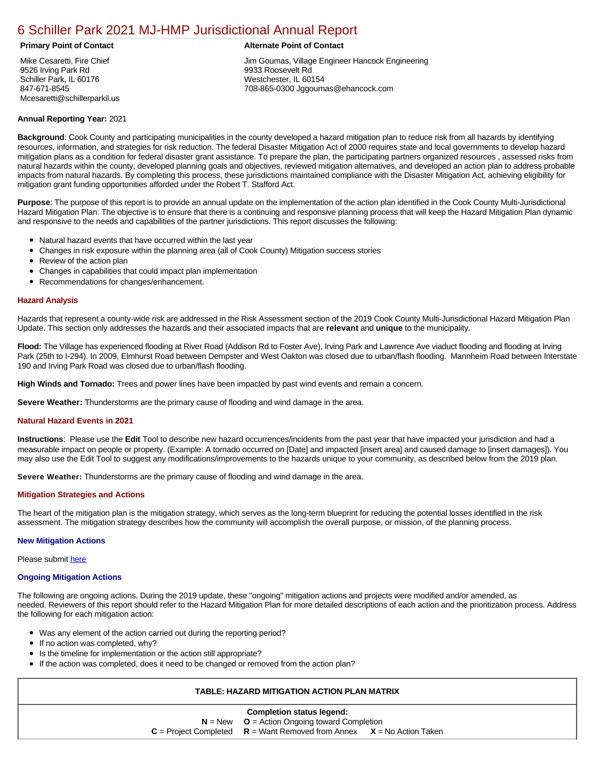# [6 Schiller Park 2021 MJ-HMP Jurisdictional Annual Report](https://schiller.isc-cemp.com/Cemp/Details?id=8322916)

Mike Cesaretti, Fire Chief 9526 Irving Park Rd Schiller Park, IL 60176 847-671-8545 Mcesaretti@schillerparkil.us

## **Primary Point of Contact Alternate Point of Contact**

Jim Goumas, Village Engineer Hancock Engineering 9933 Roosevelt Rd Westchester, IL 60154 708-865-0300 Jggoumas@ehancock.com

# **Annual Reporting Year:** 2021

**Background**: Cook County and participating municipalities in the county developed a hazard mitigation plan to reduce risk from all hazards by identifying resources, information, and strategies for risk reduction. The federal Disaster Mitigation Act of 2000 requires state and local governments to develop hazard mitigation plans as a condition for federal disaster grant assistance. To prepare the plan, the participating partners organized resources , assessed risks from natural hazards within the county, developed planning goals and objectives, reviewed mitigation alternatives, and developed an action plan to address probable impacts from natural hazards. By completing this process, these jurisdictions maintained compliance with the Disaster Mitigation Act, achieving eligibility for mitigation grant funding opportunities afforded under the Robert T. Stafford Act.

**Purpose**: The purpose of this report is to provide an annual update on the implementation of the action plan identified in the Cook County Multi-Jurisdictional Hazard Mitigation Plan. The objective is to ensure that there is a continuing and responsive planning process that will keep the Hazard Mitigation Plan dynamic and responsive to the needs and capabilities of the partner jurisdictions. This report discusses the following:

- Natural hazard events that have occurred within the last year
- $\bullet$ Changes in risk exposure within the planning area (all of Cook County) Mitigation success stories
- Review of the action plan  $\bullet$
- $\bullet$ Changes in capabilities that could impact plan implementation
- Recommendations for changes/enhancement.  $\bullet$

### **Hazard Analysis**

Hazards that represent a county-wide risk are addressed in the Risk Assessment section of the 2019 Cook County Multi-Jurisdictional Hazard Mitigation Plan Update. This section only addresses the hazards and their associated impacts that are **relevant** and **unique** to the municipality.

**Flood:** The Village has experienced flooding at River Road (Addison Rd to Foster Ave), Irving Park and Lawrence Ave viaduct flooding and flooding at Irving Park (25th to I-294). In 2009, Elmhurst Road between Dempster and West Oakton was closed due to urban/flash flooding. Mannheim Road between Interstate 190 and Irving Park Road was closed due to urban/flash flooding.

**High Winds and Tornado:** Trees and power lines have been impacted by past wind events and remain a concern.

**Severe Weather:** Thunderstorms are the primary cause of flooding and wind damage in the area.

#### **Natural Hazard Events in 2021**

**Instructions**: Please use the **Edit** Tool to describe new hazard occurrences/incidents from the past year that have impacted your jurisdiction and had a measurable impact on people or property. (Example: A tornado occurred on [Date] and impacted [insert area] and caused damage to [insert damages]). You may also use the Edit Tool to suggest any modifications/improvements to the hazards unique to your community, as described below from the 2019 plan.

**Severe Weather:** Thunderstorms are the primary cause of flooding and wind damage in the area.

#### **Mitigation Strategies and Actions**

The heart of the mitigation plan is the mitigation strategy, which serves as the long-term blueprint for reducing the potential losses identified in the risk assessment. The mitigation strategy describes how the community will accomplish the overall purpose, or mission, of the planning process.

# **New Mitigation Actions**

Please submit [here](https://integratedsolutions.wufoo.com/forms/mg21jvf0jn639o/)

#### **Ongoing Mitigation Actions**

The following are ongoing actions. During the 2019 update, these "ongoing" mitigation actions and projects were modified and/or amended, as needed. Reviewers of this report should refer to the Hazard Mitigation Plan for more detailed descriptions of each action and the prioritization process. Address the following for each mitigation action:

- Was any element of the action carried out during the reporting period?
- If no action was completed, why?
- Is the timeline for implementation or the action still appropriate?
- If the action was completed, does it need to be changed or removed from the action plan?

# **TABLE: HAZARD MITIGATION ACTION PLAN MATRIX**

| Completion status legend:                        |                                                       |                       |  |  |  |
|--------------------------------------------------|-------------------------------------------------------|-----------------------|--|--|--|
| $N = New$ $Q = Action Ongoing toward Completion$ |                                                       |                       |  |  |  |
|                                                  | $C =$ Project Completed $R =$ Want Removed from Annex | $X = No$ Action Taken |  |  |  |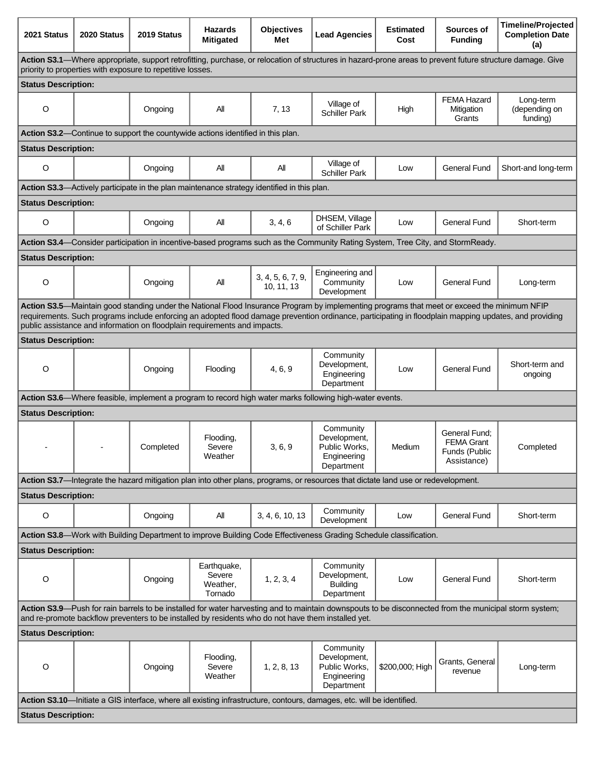| 2021 Status                                                                                                                                                                                                                                                                                                                                                                        | 2020 Status | 2019 Status | <b>Hazards</b><br><b>Mitigated</b>                                                         | <b>Objectives</b><br>Met        | <b>Lead Agencies</b>                                                                                                              | <b>Estimated</b><br>Cost | Sources of<br><b>Funding</b>                                       | <b>Timeline/Projected</b><br><b>Completion Date</b><br>(a) |
|------------------------------------------------------------------------------------------------------------------------------------------------------------------------------------------------------------------------------------------------------------------------------------------------------------------------------------------------------------------------------------|-------------|-------------|--------------------------------------------------------------------------------------------|---------------------------------|-----------------------------------------------------------------------------------------------------------------------------------|--------------------------|--------------------------------------------------------------------|------------------------------------------------------------|
| Action S3.1—Where appropriate, support retrofitting, purchase, or relocation of structures in hazard-prone areas to prevent future structure damage. Give<br>priority to properties with exposure to repetitive losses.                                                                                                                                                            |             |             |                                                                                            |                                 |                                                                                                                                   |                          |                                                                    |                                                            |
| <b>Status Description:</b>                                                                                                                                                                                                                                                                                                                                                         |             |             |                                                                                            |                                 |                                                                                                                                   |                          |                                                                    |                                                            |
| O                                                                                                                                                                                                                                                                                                                                                                                  |             | Ongoing     | All                                                                                        | 7, 13                           | Village of<br><b>Schiller Park</b>                                                                                                | High                     | <b>FEMA Hazard</b><br>Mitigation<br>Grants                         | Long-term<br>(depending on<br>funding)                     |
|                                                                                                                                                                                                                                                                                                                                                                                    |             |             | Action S3.2-Continue to support the countywide actions identified in this plan.            |                                 |                                                                                                                                   |                          |                                                                    |                                                            |
| <b>Status Description:</b>                                                                                                                                                                                                                                                                                                                                                         |             |             |                                                                                            |                                 |                                                                                                                                   |                          |                                                                    |                                                            |
| $\circ$                                                                                                                                                                                                                                                                                                                                                                            |             | Ongoing     | All                                                                                        | All                             | Village of<br><b>Schiller Park</b>                                                                                                | Low                      | <b>General Fund</b>                                                | Short-and long-term                                        |
|                                                                                                                                                                                                                                                                                                                                                                                    |             |             | Action S3.3—Actively participate in the plan maintenance strategy identified in this plan. |                                 |                                                                                                                                   |                          |                                                                    |                                                            |
| <b>Status Description:</b>                                                                                                                                                                                                                                                                                                                                                         |             |             |                                                                                            |                                 |                                                                                                                                   |                          |                                                                    |                                                            |
| O                                                                                                                                                                                                                                                                                                                                                                                  |             | Ongoing     | All                                                                                        | 3, 4, 6                         | DHSEM, Village<br>of Schiller Park                                                                                                | Low                      | <b>General Fund</b>                                                | Short-term                                                 |
|                                                                                                                                                                                                                                                                                                                                                                                    |             |             |                                                                                            |                                 | Action S3.4—Consider participation in incentive-based programs such as the Community Rating System, Tree City, and StormReady.    |                          |                                                                    |                                                            |
| <b>Status Description:</b>                                                                                                                                                                                                                                                                                                                                                         |             |             |                                                                                            |                                 |                                                                                                                                   |                          |                                                                    |                                                            |
| $\circ$                                                                                                                                                                                                                                                                                                                                                                            |             | Ongoing     | All                                                                                        | 3, 4, 5, 6, 7, 9,<br>10, 11, 13 | Engineering and<br>Community<br>Development                                                                                       | Low                      | <b>General Fund</b>                                                | Long-term                                                  |
| Action S3.5—Maintain good standing under the National Flood Insurance Program by implementing programs that meet or exceed the minimum NFIP<br>requirements. Such programs include enforcing an adopted flood damage prevention ordinance, participating in floodplain mapping updates, and providing<br>public assistance and information on floodplain requirements and impacts. |             |             |                                                                                            |                                 |                                                                                                                                   |                          |                                                                    |                                                            |
| <b>Status Description:</b>                                                                                                                                                                                                                                                                                                                                                         |             |             |                                                                                            |                                 |                                                                                                                                   |                          |                                                                    |                                                            |
| $\circ$                                                                                                                                                                                                                                                                                                                                                                            |             | Ongoing     | Flooding                                                                                   | 4, 6, 9                         | Community<br>Development,<br>Engineering<br>Department                                                                            | Low                      | <b>General Fund</b>                                                | Short-term and<br>ongoing                                  |
|                                                                                                                                                                                                                                                                                                                                                                                    |             |             |                                                                                            |                                 | Action S3.6—Where feasible, implement a program to record high water marks following high-water events.                           |                          |                                                                    |                                                            |
| <b>Status Description:</b>                                                                                                                                                                                                                                                                                                                                                         |             |             |                                                                                            |                                 |                                                                                                                                   |                          |                                                                    |                                                            |
|                                                                                                                                                                                                                                                                                                                                                                                    |             | Completed   | Flooding,<br>Severe<br>Weather                                                             | 3, 6, 9                         | Community<br>Development,<br>Public Works,<br>Engineering<br>Department                                                           | Medium                   | General Fund;<br><b>FEMA Grant</b><br>Funds (Public<br>Assistance) | Completed                                                  |
|                                                                                                                                                                                                                                                                                                                                                                                    |             |             |                                                                                            |                                 | Action S3.7—Integrate the hazard mitigation plan into other plans, programs, or resources that dictate land use or redevelopment. |                          |                                                                    |                                                            |
| <b>Status Description:</b>                                                                                                                                                                                                                                                                                                                                                         |             |             |                                                                                            |                                 |                                                                                                                                   |                          |                                                                    |                                                            |
| O                                                                                                                                                                                                                                                                                                                                                                                  |             | Ongoing     | All                                                                                        | 3, 4, 6, 10, 13                 | Community<br>Development                                                                                                          | Low                      | <b>General Fund</b>                                                | Short-term                                                 |
|                                                                                                                                                                                                                                                                                                                                                                                    |             |             |                                                                                            |                                 | Action S3.8-Work with Building Department to improve Building Code Effectiveness Grading Schedule classification.                 |                          |                                                                    |                                                            |
| <b>Status Description:</b>                                                                                                                                                                                                                                                                                                                                                         |             |             |                                                                                            |                                 |                                                                                                                                   |                          |                                                                    |                                                            |
| $\mathsf O$                                                                                                                                                                                                                                                                                                                                                                        |             | Ongoing     | Earthquake,<br>Severe<br>Weather,<br>Tornado                                               | 1, 2, 3, 4                      | Community<br>Development,<br><b>Building</b><br>Department                                                                        | Low                      | <b>General Fund</b>                                                | Short-term                                                 |
| Action S3.9-Push for rain barrels to be installed for water harvesting and to maintain downspouts to be disconnected from the municipal storm system;<br>and re-promote backflow preventers to be installed by residents who do not have them installed yet.                                                                                                                       |             |             |                                                                                            |                                 |                                                                                                                                   |                          |                                                                    |                                                            |
| <b>Status Description:</b>                                                                                                                                                                                                                                                                                                                                                         |             |             |                                                                                            |                                 |                                                                                                                                   |                          |                                                                    |                                                            |
| O                                                                                                                                                                                                                                                                                                                                                                                  |             | Ongoing     | Flooding,<br>Severe<br>Weather                                                             | 1, 2, 8, 13                     | Community<br>Development,<br>Public Works,<br>Engineering<br>Department                                                           | \$200,000; High          | Grants, General<br>revenue                                         | Long-term                                                  |
|                                                                                                                                                                                                                                                                                                                                                                                    |             |             |                                                                                            |                                 | Action S3.10—Initiate a GIS interface, where all existing infrastructure, contours, damages, etc. will be identified.             |                          |                                                                    |                                                            |
| <b>Status Description:</b>                                                                                                                                                                                                                                                                                                                                                         |             |             |                                                                                            |                                 |                                                                                                                                   |                          |                                                                    |                                                            |